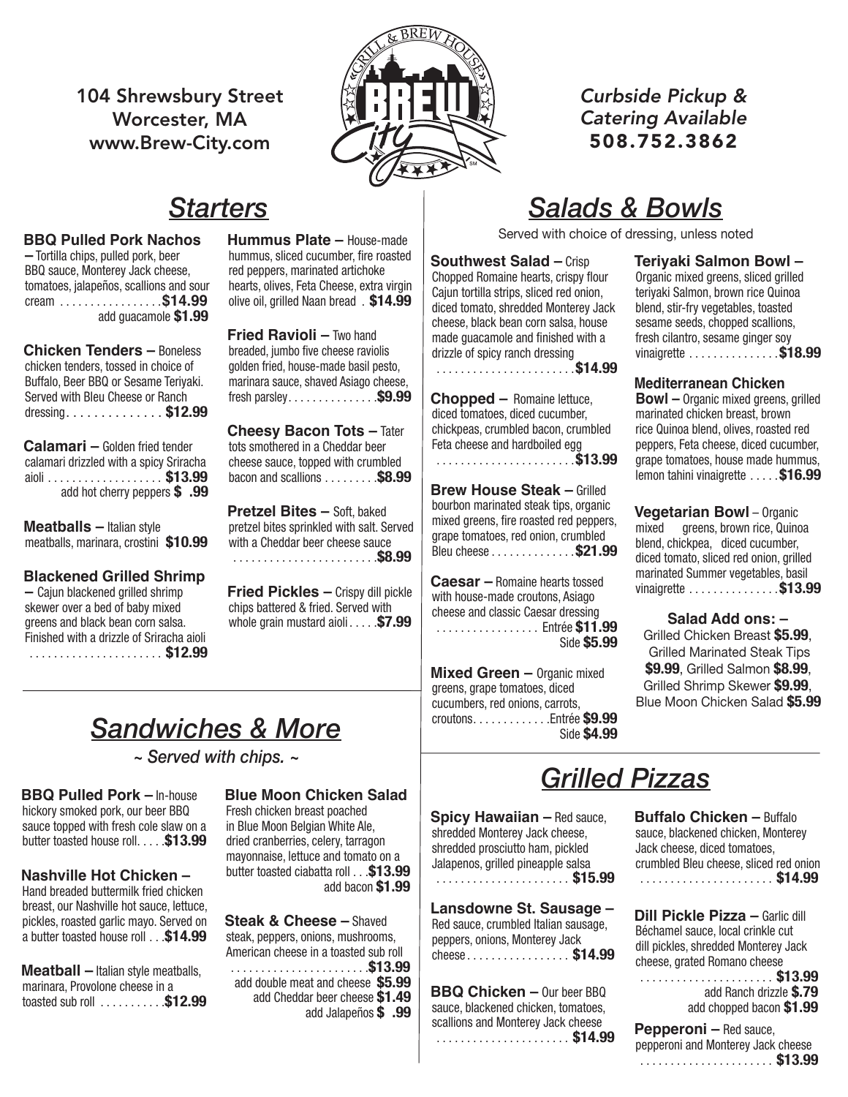104 Shrewsbury Street Worcester, MA www.Brew-City.com



*Curbside Pickup & Catering Available* 508.752.3862

## *Starters*

#### **BBQ Pulled Pork Nachos**

**–** Tortilla chips, pulled pork, beer **BBQ sauce, Monterey Jack cheese,** Figure 2016 tomatoes, jalapeños, scallions and sour hear cream . . . . . . . . . . . . . . . . \$**14.99** olive oi add guacamole **\$1.99**

**Chicken Tenders –** Boneless chicken tenders, tossed in choice of **chicken** frie Buffalo, Beer BBQ or Sesame Teriyaki. Burlaid, Boot BBQ of Sesamo forfyam. Thailm<br>Served with Bleu Cheese or Ranch fresh dressing. . . . . . . . . . . . . . **\$12.99** 

**Calamari –** Golden fried tender calamari drizzled with a spicy Sriracha aidh . . . . . . . . . . . . . . . . . . \$13.99 bacon are add hot cherry peppers  $$ .99$ 

**Meatballs –** Italian style meatballs, marinara, crostini **\$10.99**

#### **Blackened Grilled Shrimp**

 $-$  Cajun blackened grilled shrimp skewer over a bed of baby mixed skewer over a bed or baby mixed of drugs basewer over a bed or baby mixed of the server of the serve Finished with a drizzle of Sriracha aioli . . . . . . . . . . . . . . . . . . . . . . **\$12.99 Brew House Steak –** Grilled bourbon

roasted red peppers, grape tomatoes, red onion,

**Hummus Plate**  $-$  House-made  $\vert$ hummus, sliced cucumber, fire roasted red peppers, marinated artichoke hearts, olives, Feta Cheese, extra virgin | Chepped Homanic Hearts, olicen olive oil, grilled Naan bread . **\$14.99**

**Fried Ravioli** – Two hand **Breaded, jumbo five cheese raviolis** golden fried, house-made basil pesto, who was red red red in the solid red in the substitution of  $\mathbb{R}^n$ marinara sauce, shaved Asiago cheese, manniata cadoo, shaved Ashago Sheedo,<br>fresh parsley. . . . . . . . . . . . . . . . . \$9.99 | Chopped — R

**Cheesy Bacon Tots –** Tater Ranch dressing . . . . . . . . . . . . . . . . . . . . . . . .**\$11.99** tots smothered in a Cheddar beer cheese sauce, topped with crumbled bacon and scallions  $\ldots \ldots$  **\$8.99**  $\vert$  \_  $\ldots$ 

> **Pretzel Bites –** Soft, baked pretzel bites sprinkled with salt. Served with a Cheddar beer cheese sauce . . . . . . . . . . . . . . . . . . . . . . . **\$8.99**

**Fried Pickles** – Crispy dill pickle  $\int \frac{Cd}{dt} dt$  house-ma chips battered & fried. Served with empo battered & med. oct ved with **changes** and class<br>whole grain mustard aioli . . . . **\$7.99** 

# *Salads & Bowls*

Served with choice of dressing, unless noted

**Southwest Salad – Crisp Canadian Figure 1986**<br> **Calameted artichology Couthwest Salad – Crisp** Chopped Romaine hearts, crispy flour Cajun tortilla strips, sliced red onion, **BUDE 199.** diced tomato, shredded Monterey Jack cheese, black bean corn salsa, house made guacamole and finished with a drizzle of spicy ranch dressing . . . . . . . . . . . . . . . . . . . . . . **\$14.99** battered & fried. Served with whole grain mustard

**Chopped –** Romaine lettuce, diced tomatoes, diced cucumber, chickpeas, crumbled bacon, crumbled Feta cheese and hardboiled egg a in a cheddar beer<br>topped with crumbled<br> $\begin{bmatrix} 1 & 0 & 0 \\ 0 & 1 & 0 \\ 0 & 0 & 1 \end{bmatrix}$ 

**Brew House Steak – Grilled** bourbon marinated steak tips, organic mixed greens, fire roasted red peppers, grape tomatoes, red onion, crumbled Bleu cheese . . . . . . . . . . . . . **\$21.99**

**Caesar –** Romaine hearts tossed with house-made croutons, Asiago cheese and classic Caesar dressing . . . . . . . . . . . . . . . . . Entrée **\$11.99** Side **\$5.99** crumbled Italian sausage, peppers, onions,

**Mixed Green – Organic mixed** greens, grape tomatoes, diced solved, such a series, such a cucumbers, red onions, carrots, **blackened chickens** croutons . . . . . . . . . . . . . Entrée \$9.99 Side \$4.99 Monterey Jack cheese . . . . . . . . . . . . . . . . . .**\$14.99** Monterey Jack cheese . . . . . . . . . . . . . . . . . .**\$14.99**

**Teriyaki Salmon Bowl – Pretzel Bites –** Soft, baked pretzel bites Organic mixed greens, sliced grilled richtering of the Cheddar School, check graduate ed onion, teriyaki Salmon, brown rice Quinoa nterey Jack blend, stir-fry vegetables, toasted sesame seeds, chopped scallions, fresh cilantro, sesame ginger soy **Friday – Extractional process** – Crispy discussed by **18.99** 

**Mediterranean Chicken Bowl –** Organic mixed greens, grilled marinated chicken breast, brown rice Quinoa blend, olives, roasted red peppers, Feta cheese, diced cucumber, grape tomatoes, house made hummus, lemon tahini vinaigrette . . . . **\$16.99**

> **Vegetarian Bowl** – Organic mixed greens, brown rice, Quinoa blend, chickpea, diced cucumber, diced tomato, sliced red onion, grilled marinated Summer vegetables, basil vinaigrette . . . . . . . . . . . . . . . \$13.99

Salad Add ons: -Grilled Chicken Breast **\$5.99**, **BRACE WALLED STACE STACE CARGING A STACE CARGING STACE CARGING** nic mixed **\$9.99**, Grilled Salmon \$8.99, Grilled Shrimp Skewer **\$9.99**, Blue Moon Chicken Salad **\$5.99** slaw on a butter toasted house roll . . . . . . . .**\$12.99**

### crumbled Bleu cheese . . . . . . . . . . . . . . . .**\$18.99** *Sandwiches & More*

**Caesar –** Romaine hearts tossed with house-*~ Served with chips. ~*

**BBQ Pulled Pork –** In-house Blue Mo butter toasted house roll . . . . **\$13.99** dried crank hickory smoked pork, our beer BBQ sauce topped with fresh cole slaw on a

#### **Nashville Hot Chicken –** butter toas

pickles, roasted garlic mayo. Served on **Steak &** a butter toasted house roll . . . \$14.99 steak Hand breaded buttermilk fried chicken breast, our Nashville hot sauce, lettuce,

**Meatball** – Italian style meatballs, marinara, Provolone cheese in a toasted sub roll . . . . . . . . . . **\$12.99**

#### **Pepperoni –** Red sauce, pepperoni and **Blue Moon Chicken Salad**

mayonnaise, lettuce and tomato on a Fresh chicken breast poached<br>Fresh chicken breast poached chicken, Monterey Jack cheese, diced tomatoes, butter toasted ciabatta roll . . **\$13.99**  add bacon **\$1.99** |  $\cdots$  . . . . . . . . . . . . . . . . in Blue Moon Belgian White Ale, dried cranberries, celery, tarragon

> **Steak & Cheese –** Shaved steak, peppers, onions, mushrooms, American cheese in a toasted sub roll . . . . . . . . . . . . . . . . . . . . . . **\$13.99** add double meat and cheese **\$5.99** add Cheddar beer cheese **\$1.49** add Jalapeños **\$ .99**

### buttermilk fried chicken breast, our Nashville hot sauce, lettuce, pickles, roasted garlic mayo. Served *Grilled Pizzas*

es, celery, tarragon<br> **Hugs and tamate an a** shredded prosciutto ham, pickled **Spicy Hawaiian –** Red sauce, shredded Monterey Jack cheese, Jalapenos, grilled pineapple salsa . . . . . . . . . . . . . . . . . . . . . . **\$15.99**

> **Lansdowne St. Sausage – Dill Pickle Pizza –** Garl Red sauce, crumbled Italian sausage, **DIII FICKI<del>C</del> FIZZA** — Galillo di peppers, onions, Monterey Jack cheese . . . . . . . . . . . . . . . . . **\$14.99**

**BBQ Chicken –** Our beer BBQ sauce, blackened chicken, tomatoes, scallions and Monterey Jack cheese . . . . . . . . . . . . . . . . . . . . . . **\$14.99**

neese, sauce, blackened chicken, Monterey e salsa crumbled Bleu cheese, sliced red onion **Buffalo Chicken –** Buffalo Jack cheese, diced tomatoes, . . . . . . . . . . . . . . . . . . . . . . **\$14.99**

| usage         | Dill Pickle Pizza - Garlic dill      |
|---------------|--------------------------------------|
| a sausage,    | Béchamel sauce, local crinkle cut    |
| Jack          | dill pickles, shredded Monterey Jack |
| $. .$ \$14.99 | cheese, grated Romano cheese         |
| beer BBQ      |                                      |
| tomatoes.     | add Ranch drizzle \$.79              |
| k chooco      | add chopped bacon \$1.99             |

**Pepperoni –** Red sauce, pepperoni and Monterey Jack cheese . . . . . . . . . . . . . . . . . . . . . . **\$13.99**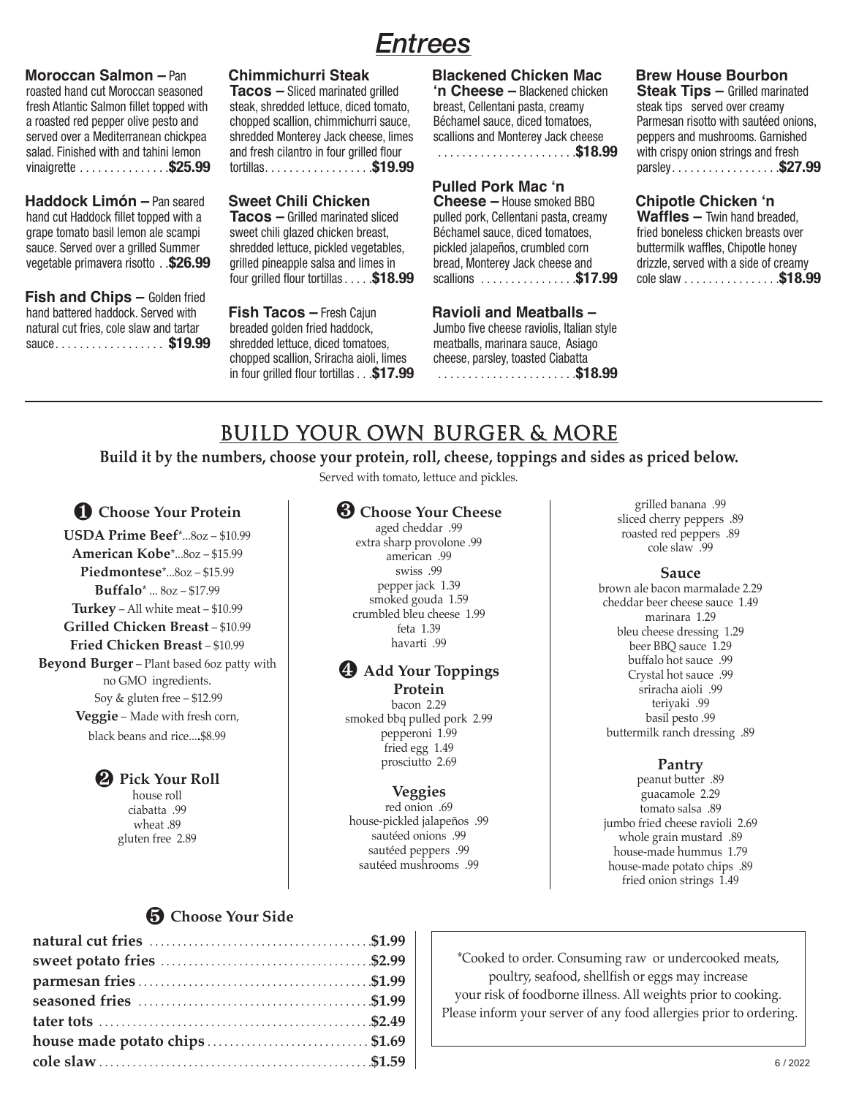## **Entrees**

**Moroccan Salmon** – Pan **Choroccan Salmon** – Pan roasted hand cut Moroccan seasoned Tresh Atlantic Cul Moroccari Seasoned<br>fresh Atlantic Salmon fillet topped with steak, sh a roasted red pepper olive pesto and choppe served over a Mediterranean chickpea shred salad. Finished with and tahini lemon and fresh vinaigrette . . . . . . . . . . . . . . **\$25.99**

**Haddock Limón** – Pan seared **Sweet** hand cut Haddock fillet topped with a natural cut ridduct intertupped with a masses in the cut friends of the cut is also grape tomato basil lemon ale scampi sauce. Served over a grilled Summer shredded vegetable primavera risotto . **\$26.99**

**Fish and Chips – Golden fried** hand battered haddock. Served with **Fish** natural cut fries, cole slaw and tartar natural cut mes, cole slaw and tartal in the bleade<br>sauce.................. **\$19.99** shredd

## **Chimmichurri Steak**

**Tacos** – Sliced marinated grilled **his chicken breader** – steak, shredded lettuce, diced tomato, chopped scallion, chimmichurri sauce, Béchamel sauce, diced shredded Monterey Jack cheese, limes scallions and Monterey and fresh cilantro in four grilled flour tortillas . . . . . . . . . . . . . . . . . **\$19.99**

#### **Sweet Chili Chicken**

**Tacos –** Grilled marinated sliced sweet chili glazed chicken breast, Béchamel sauce, choring successive tensors in the same of the same of the s shredded lettuce, pickled vegetables, grilled pineapple salsa and limes in four grilled flour tortillas . . . . **\$18.99**

**Fish Tacos** – Fresh Cajun **Ravioli and** breaded golden fried haddock, shredded lettuce, diced tomatoes, chopped scallion, Sriracha aioli, limes cheese, parsley, toasted ...<br>Chopped scallion, Sriracha aioli, limes cheese, parsley, toasted in four grilled flour tortillas . . . \$17.99

#### **Proton Elackened Chicken Mac 'n Cheese –** Blackened chicken breast, Cellentani pasta, creamy Béchamel sauce, diced tomatoes, scallions and Monterey Jack cheese

. . . . . . . . . . . . . . . . . . . . . . **\$18.99**

#### **Pulled Pork Mac 'n**

**ili Chicken Cheese** – House smoked BBQ pulled pork, Cellentani pasta, creamy Béchamel sauce, diced tomatoes, ce, pickled vegetables, pickled jalapeños, crumbled corn bread, Monterey Jack cheese and scallions . . . . . . . . . . . . . . . **\$17.99**

#### **Ravioli and Meatballs –**

n fried haddock, bumbo five cheese raviolis, Italian style meatballs, marinara sauce, Asiago cheese, parsley, toasted Ciabatta . . . . . . . . . . . . . . . . . . . . . . **\$18.99**

#### n Mac Brew House Bourbon

**Steak Tips –** Grilled marinated steak rips = since mann<br>eamy steak tips served over creamy enting<br>atoes, Parmesan risotto with sautéed onions, k cheese peppers and mushrooms. Garnished . . . **\$18.99** with crispy onion strings and fresh parsley . . . . . . . . . . . . . . . . . **\$27.99**

#### ed BBQ **Chipotle Chicken 'n**

**Waffles –** Twin hand breaded, d, creamy **veaming** with hand breaded,<br>atoes, fried boneless chicken breasts over d corn<sup>i</sup> buttermilk waffles, Chipotle honey drizzle, served with a side of creamy cole slaw . . . . . . . . . . . . . . . **\$18.99**

## BUILD YOUR OWN BURGER & MORE

**Build it by the numbers, choose your protein, roll, cheese, toppings and sides as priced below.**

Served with tomato, lettuce and pickles.

#### ❶ **Choose Your Protein**

**USDA Prime Beef**\*...8oz – \$10.99 **American Kobe**\*...8oz – \$15.99 **Piedmontese**\*...8oz – \$15.99 **Buffalo**\* ... 8oz – \$17.99 **Turkey** – All white meat – \$10.99 **Grilled Chicken Breast** – \$10.99 **Fried Chicken Breast** – \$10.99 **Beyond Burger** – Plant based 6oz patty with no GMO ingredients. Soy & gluten free – \$12.99 **Veggie** – Made with fresh corn, black beans and rice...**.**\$8.99

#### ❷ **Pick Your Roll**

house roll ciabatta .99 wheat .89 gluten free 2.89

### ❸ **Choose Your Cheese**

aged cheddar .99 extra sharp provolone .99 american .99 swiss .99 pepper jack 1.39 smoked gouda 1.59 crumbled bleu cheese 1.99 feta 1.39 havarti .99

#### ❹ **Add Your Toppings Protein**

bacon 2.29 smoked bbq pulled pork 2.99 pepperoni 1.99 fried egg 1.49 prosciutto 2.69

#### **Veggies**

red onion .69 house-pickled jalapeños .99 sautéed onions .99 sautéed peppers .99 sautéed mushrooms .99

grilled banana .99 sliced cherry peppers .89 roasted red peppers .89 cole slaw .99

#### **Sauce**

brown ale bacon marmalade 2.29 cheddar beer cheese sauce 1.49 marinara 1.29 bleu cheese dressing 1.29 beer BBQ sauce 1.29 buffalo hot sauce .99 Crystal hot sauce .99 sriracha aioli .99 teriyaki .99 basil pesto .99 buttermilk ranch dressing .89

#### **Pantry**

peanut butter .89 guacamole 2.29 tomato salsa .89 jumbo fried cheese ravioli 2.69 whole grain mustard .89 house-made hummus 1.79 house-made potato chips .89 fried onion strings 1.49

#### ❺ **Choose Your Side**

| house made potato chips\$1.69 |  |
|-------------------------------|--|
|                               |  |

\*Cooked to order. Consuming raw or undercooked meats, poultry, seafood, shellfish or eggs may increase your risk of foodborne illness. All weights prior to cooking. Please inform your server of any food allergies prior to ordering.